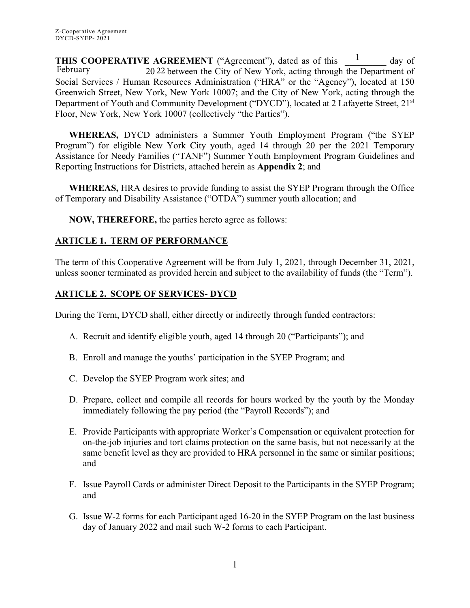**THIS COOPERATIVE AGREEMENT** ("Agreement"), dated as of this <sup>1</sup> day of 2022 between the City of New York, acting through the Department of Social Services / Human Resources Administration ("HRA" or the "Agency"), located at 150 Greenwich Street, New York, New York 10007; and the City of New York, acting through the Department of Youth and Community Development ("DYCD"), located at 2 Lafayette Street, 21<sup>st</sup> Floor, New York, New York 10007 (collectively "the Parties"). 1 February

**WHEREAS,** DYCD administers a Summer Youth Employment Program ("the SYEP Program") for eligible New York City youth, aged 14 through 20 per the 2021 Temporary Assistance for Needy Families ("TANF") Summer Youth Employment Program Guidelines and Reporting Instructions for Districts, attached herein as **Appendix 2**; and

**WHEREAS,** HRA desires to provide funding to assist the SYEP Program through the Office of Temporary and Disability Assistance ("OTDA") summer youth allocation; and

**NOW, THEREFORE,** the parties hereto agree as follows:

# **ARTICLE 1. TERM OF PERFORMANCE**

The term of this Cooperative Agreement will be from July 1, 2021, through December 31, 2021, unless sooner terminated as provided herein and subject to the availability of funds (the "Term").

## **ARTICLE 2. SCOPE OF SERVICES- DYCD**

During the Term, DYCD shall, either directly or indirectly through funded contractors:

- A. Recruit and identify eligible youth, aged 14 through 20 ("Participants"); and
- B. Enroll and manage the youths' participation in the SYEP Program; and
- C. Develop the SYEP Program work sites; and
- D. Prepare, collect and compile all records for hours worked by the youth by the Monday immediately following the pay period (the "Payroll Records"); and
- E. Provide Participants with appropriate Worker's Compensation or equivalent protection for on-the-job injuries and tort claims protection on the same basis, but not necessarily at the same benefit level as they are provided to HRA personnel in the same or similar positions; and
- F. Issue Payroll Cards or administer Direct Deposit to the Participants in the SYEP Program; and
- G. Issue W-2 forms for each Participant aged 16-20 in the SYEP Program on the last business day of January 2022 and mail such W-2 forms to each Participant.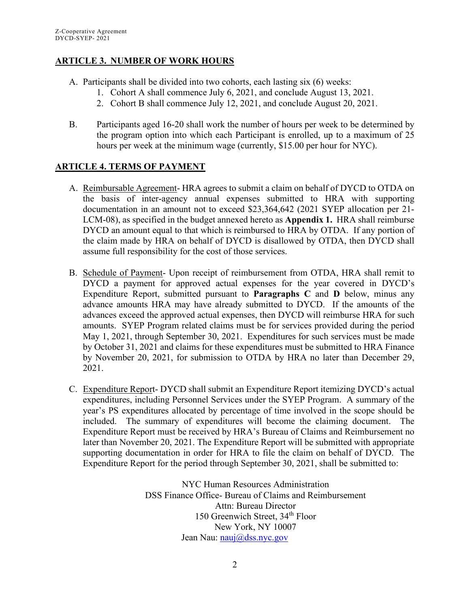## **ARTICLE 3. NUMBER OF WORK HOURS**

- A. Participants shall be divided into two cohorts, each lasting six (6) weeks:
	- 1. Cohort A shall commence July 6, 2021, and conclude August 13, 2021.
		- 2. Cohort B shall commence July 12, 2021, and conclude August 20, 2021.
- B. Participants aged 16-20 shall work the number of hours per week to be determined by the program option into which each Participant is enrolled, up to a maximum of 25 hours per week at the minimum wage (currently, \$15.00 per hour for NYC).

## **ARTICLE 4. TERMS OF PAYMENT**

- A. Reimbursable Agreement- HRA agrees to submit a claim on behalf of DYCD to OTDA on the basis of inter-agency annual expenses submitted to HRA with supporting documentation in an amount not to exceed \$23,364,642 (2021 SYEP allocation per 21- LCM-08), as specified in the budget annexed hereto as **Appendix 1.** HRA shall reimburse DYCD an amount equal to that which is reimbursed to HRA by OTDA. If any portion of the claim made by HRA on behalf of DYCD is disallowed by OTDA, then DYCD shall assume full responsibility for the cost of those services.
- B. Schedule of Payment- Upon receipt of reimbursement from OTDA, HRA shall remit to DYCD a payment for approved actual expenses for the year covered in DYCD's Expenditure Report, submitted pursuant to **Paragraphs C** and **D** below, minus any advance amounts HRA may have already submitted to DYCD. If the amounts of the advances exceed the approved actual expenses, then DYCD will reimburse HRA for such amounts. SYEP Program related claims must be for services provided during the period May 1, 2021, through September 30, 2021. Expenditures for such services must be made by October 31, 2021 and claims for these expenditures must be submitted to HRA Finance by November 20, 2021, for submission to OTDA by HRA no later than December 29, 2021.
- C. Expenditure Report- DYCD shall submit an Expenditure Report itemizing DYCD's actual expenditures, including Personnel Services under the SYEP Program. A summary of the year's PS expenditures allocated by percentage of time involved in the scope should be included. The summary of expenditures will become the claiming document. The Expenditure Report must be received by HRA's Bureau of Claims and Reimbursement no later than November 20, 2021. The Expenditure Report will be submitted with appropriate supporting documentation in order for HRA to file the claim on behalf of DYCD. The Expenditure Report for the period through September 30, 2021, shall be submitted to:

NYC Human Resources Administration DSS Finance Office- Bureau of Claims and Reimbursement Attn: Bureau Director 150 Greenwich Street, 34th Floor New York, NY 10007 Jean Nau: [nauj@dss.nyc.gov](mailto:nauj@dss.nyc.gov)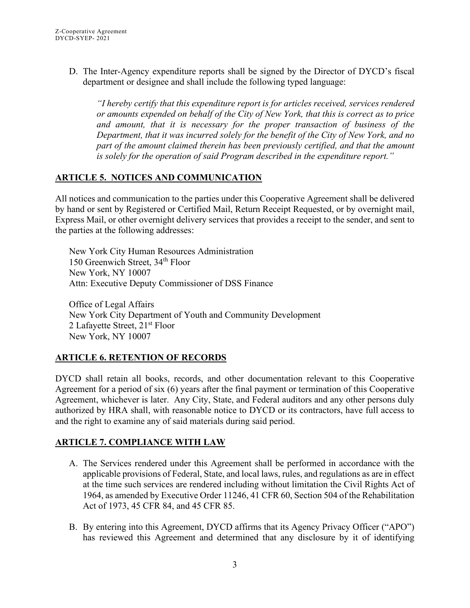D. The Inter-Agency expenditure reports shall be signed by the Director of DYCD's fiscal department or designee and shall include the following typed language:

*"I hereby certify that this expenditure report is for articles received, services rendered or amounts expended on behalf of the City of New York, that this is correct as to price and amount, that it is necessary for the proper transaction of business of the Department, that it was incurred solely for the benefit of the City of New York, and no part of the amount claimed therein has been previously certified, and that the amount is solely for the operation of said Program described in the expenditure report."* 

## **ARTICLE 5. NOTICES AND COMMUNICATION**

All notices and communication to the parties under this Cooperative Agreement shall be delivered by hand or sent by Registered or Certified Mail, Return Receipt Requested, or by overnight mail, Express Mail, or other overnight delivery services that provides a receipt to the sender, and sent to the parties at the following addresses:

New York City Human Resources Administration 150 Greenwich Street, 34<sup>th</sup> Floor New York, NY 10007 Attn: Executive Deputy Commissioner of DSS Finance

Office of Legal Affairs New York City Department of Youth and Community Development 2 Lafayette Street, 21<sup>st</sup> Floor New York, NY 10007

# **ARTICLE 6. RETENTION OF RECORDS**

DYCD shall retain all books, records, and other documentation relevant to this Cooperative Agreement for a period of six (6) years after the final payment or termination of this Cooperative Agreement, whichever is later. Any City, State, and Federal auditors and any other persons duly authorized by HRA shall, with reasonable notice to DYCD or its contractors, have full access to and the right to examine any of said materials during said period.

# **ARTICLE 7. COMPLIANCE WITH LAW**

- A. The Services rendered under this Agreement shall be performed in accordance with the applicable provisions of Federal, State, and local laws, rules, and regulations as are in effect at the time such services are rendered including without limitation the Civil Rights Act of 1964, as amended by Executive Order 11246, 41 CFR 60, Section 504 of the Rehabilitation Act of 1973, 45 CFR 84, and 45 CFR 85.
- B. By entering into this Agreement, DYCD affirms that its Agency Privacy Officer ("APO") has reviewed this Agreement and determined that any disclosure by it of identifying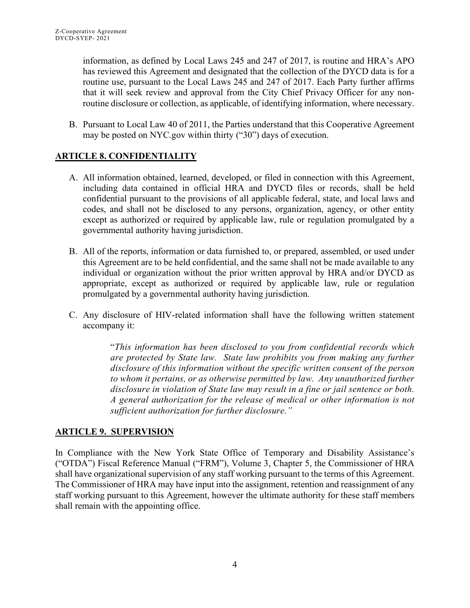information, as defined by Local Laws 245 and 247 of 2017, is routine and HRA's APO has reviewed this Agreement and designated that the collection of the DYCD data is for a routine use, pursuant to the Local Laws 245 and 247 of 2017. Each Party further affirms that it will seek review and approval from the City Chief Privacy Officer for any nonroutine disclosure or collection, as applicable, of identifying information, where necessary.

B. Pursuant to Local Law 40 of 2011, the Parties understand that this Cooperative Agreement may be posted on NYC.gov within thirty ("30") days of execution.

# **ARTICLE 8. CONFIDENTIALITY**

- A. All information obtained, learned, developed, or filed in connection with this Agreement, including data contained in official HRA and DYCD files or records, shall be held confidential pursuant to the provisions of all applicable federal, state, and local laws and codes, and shall not be disclosed to any persons, organization, agency, or other entity except as authorized or required by applicable law, rule or regulation promulgated by a governmental authority having jurisdiction.
- B. All of the reports, information or data furnished to, or prepared, assembled, or used under this Agreement are to be held confidential, and the same shall not be made available to any individual or organization without the prior written approval by HRA and/or DYCD as appropriate, except as authorized or required by applicable law, rule or regulation promulgated by a governmental authority having jurisdiction.
- C. Any disclosure of HIV-related information shall have the following written statement accompany it:

"*This information has been disclosed to you from confidential records which are protected by State law. State law prohibits you from making any further disclosure of this information without the specific written consent of the person to whom it pertains, or as otherwise permitted by law. Any unauthorized further disclosure in violation of State law may result in a fine or jail sentence or both. A general authorization for the release of medical or other information is not sufficient authorization for further disclosure."*

# **ARTICLE 9. SUPERVISION**

In Compliance with the New York State Office of Temporary and Disability Assistance's ("OTDA") Fiscal Reference Manual ("FRM"), Volume 3, Chapter 5, the Commissioner of HRA shall have organizational supervision of any staff working pursuant to the terms of this Agreement. The Commissioner of HRA may have input into the assignment, retention and reassignment of any staff working pursuant to this Agreement, however the ultimate authority for these staff members shall remain with the appointing office.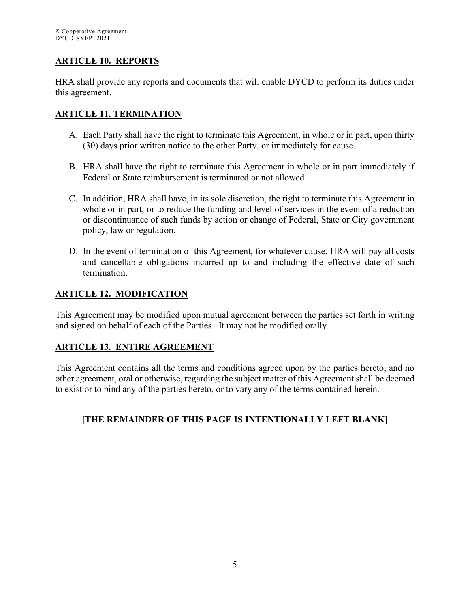## **ARTICLE 10. REPORTS**

HRA shall provide any reports and documents that will enable DYCD to perform its duties under this agreement.

## **ARTICLE 11. TERMINATION**

- A. Each Party shall have the right to terminate this Agreement, in whole or in part, upon thirty (30) days prior written notice to the other Party, or immediately for cause.
- B. HRA shall have the right to terminate this Agreement in whole or in part immediately if Federal or State reimbursement is terminated or not allowed.
- C. In addition, HRA shall have, in its sole discretion, the right to terminate this Agreement in whole or in part, or to reduce the funding and level of services in the event of a reduction or discontinuance of such funds by action or change of Federal, State or City government policy, law or regulation.
- D. In the event of termination of this Agreement, for whatever cause, HRA will pay all costs and cancellable obligations incurred up to and including the effective date of such termination.

## **ARTICLE 12. MODIFICATION**

This Agreement may be modified upon mutual agreement between the parties set forth in writing and signed on behalf of each of the Parties. It may not be modified orally.

## **ARTICLE 13. ENTIRE AGREEMENT**

This Agreement contains all the terms and conditions agreed upon by the parties hereto, and no other agreement, oral or otherwise, regarding the subject matter of this Agreement shall be deemed to exist or to bind any of the parties hereto, or to vary any of the terms contained herein.

## **[THE REMAINDER OF THIS PAGE IS INTENTIONALLY LEFT BLANK]**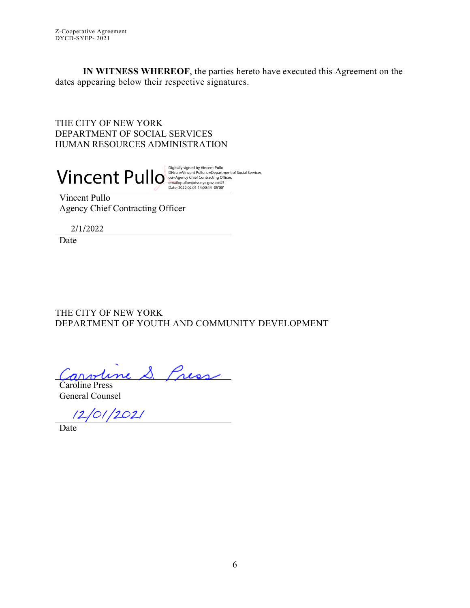**IN WITNESS WHEREOF**, the parties hereto have executed this Agreement on the dates appearing below their respective signatures.

THE CITY OF NEW YORK DEPARTMENT OF SOCIAL SERVICES HUMAN RESOURCES ADMINISTRATION

Vincent Pullo Digitally signed by Vincent Pullo, o=Department of Social Services,

Vincent Pullo Agency Chief Contracting Officer

2/1/2022

Date

THE CITY OF NEW YORK DEPARTMENT OF YOUTH AND COMMUNITY DEVELOPMENT

S. Press

Caroline Press General Counsel

 $12/01/2021$ 

Date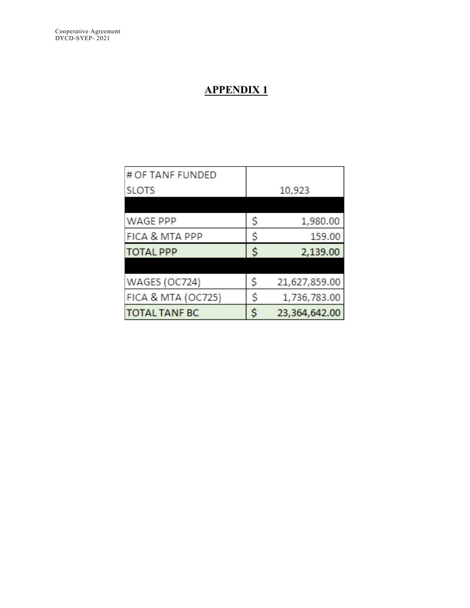# **APPENDIX 1**

| # OF TANF FUNDED     |        |               |  |
|----------------------|--------|---------------|--|
| <b>SLOTS</b>         | 10,923 |               |  |
|                      |        |               |  |
| WAGE PPP             | \$     | 1,980.00      |  |
| FICA & MTA PPP       | \$     | 159.00        |  |
| <b>TOTAL PPP</b>     | Ś      | 2,139.00      |  |
|                      |        |               |  |
| WAGES (OC724)        | \$     | 21,627,859.00 |  |
| FICA & MTA (OC725)   | \$     | 1,736,783.00  |  |
| <b>TOTAL TANF BC</b> | \$     | 23,364,642.00 |  |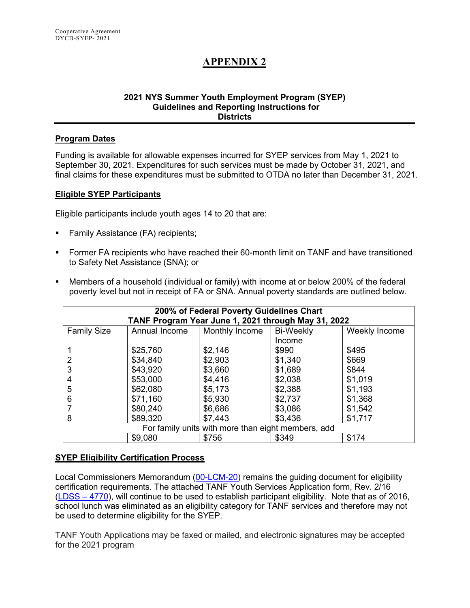# **APPENDIX 2**

#### **2021 NYS Summer Youth Employment Program (SYEP) Guidelines and Reporting Instructions for Districts**

#### **Program Dates**

Funding is available for allowable expenses incurred for SYEP services from May 1, 2021 to September 30, 2021. Expenditures for such services must be made by October 31, 2021, and final claims for these expenditures must be submitted to OTDA no later than December 31, 2021.

#### **Eligible SYEP Participants**

Eligible participants include youth ages 14 to 20 that are:

- Family Assistance (FA) recipients;
- Former FA recipients who have reached their 60-month limit on TANF and have transitioned to Safety Net Assistance (SNA); or
- Members of a household (individual or family) with income at or below 200% of the federal poverty level but not in receipt of FA or SNA. Annual poverty standards are outlined below.

| 200% of Federal Poverty Guidelines Chart            |               |                |                  |               |  |  |  |
|-----------------------------------------------------|---------------|----------------|------------------|---------------|--|--|--|
| TANF Program Year June 1, 2021 through May 31, 2022 |               |                |                  |               |  |  |  |
| <b>Family Size</b>                                  | Annual Income | Monthly Income | <b>Bi-Weekly</b> | Weekly Income |  |  |  |
|                                                     |               |                | Income           |               |  |  |  |
|                                                     | \$25,760      | \$2,146        | \$990            | \$495         |  |  |  |
|                                                     | \$34,840      | \$2,903        | \$1,340          | \$669         |  |  |  |
| 3                                                   | \$43,920      | \$3,660        | \$1,689          | \$844         |  |  |  |
| 4                                                   | \$53,000      | \$4,416        | \$2,038          | \$1,019       |  |  |  |
| 5                                                   | \$62,080      | \$5,173        | \$2,388          | \$1,193       |  |  |  |
| 6                                                   | \$71,160      | \$5,930        | \$2,737          | \$1,368       |  |  |  |
|                                                     | \$80,240      | \$6,686        | \$3,086          | \$1,542       |  |  |  |
| 8                                                   | \$89,320      | \$7,443        | \$3,436          | \$1,717       |  |  |  |
| For family units with more than eight members, add  |               |                |                  |               |  |  |  |
|                                                     | \$9,080       | \$756          | \$349            | \$174         |  |  |  |

#### **SYEP Eligibility Certification Process**

Local Commissioners Memorandum (00-LCM-20) remains the guiding document for eligibility certification requirements. The attached TANF Youth Services Application form, Rev. 2/16 [\(LDSS –](http://otda.state.nyenet/ldss_eforms/eforms/4770.pdf) 4770), will continue to be used to establish participant eligibility. Note that as of 2016, school lunch was eliminated as an eligibility category for TANF services and therefore may not be used to determine eligibility for the SYEP.

TANF Youth Applications may be faxed or mailed, and electronic signatures may be accepted for the 2021 program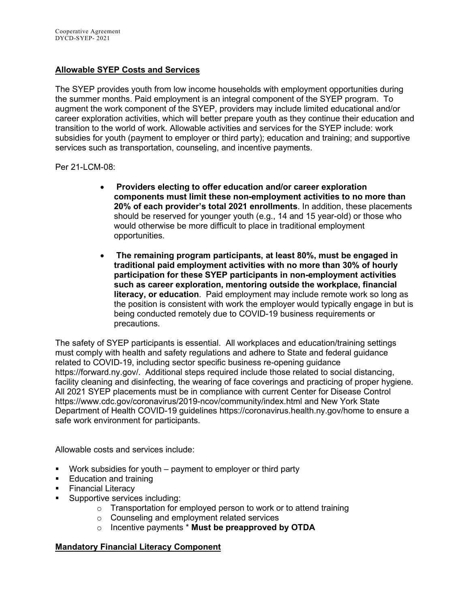#### **Allowable SYEP Costs and Services**

The SYEP provides youth from low income households with employment opportunities during the summer months. Paid employment is an integral component of the SYEP program. To augment the work component of the SYEP, providers may include limited educational and/or career exploration activities, which will better prepare youth as they continue their education and transition to the world of work. Allowable activities and services for the SYEP include: work subsidies for youth (payment to employer or third party); education and training; and supportive services such as transportation, counseling, and incentive payments.

Per 21-LCM-08:

- **Providers electing to offer education and/or career exploration components must limit these non-employment activities to no more than 20% of each provider's total 2021 enrollments**. In addition, these placements should be reserved for younger youth (e.g., 14 and 15 year-old) or those who would otherwise be more difficult to place in traditional employment opportunities.
- **The remaining program participants, at least 80%, must be engaged in traditional paid employment activities with no more than 30% of hourly participation for these SYEP participants in non-employment activities such as career exploration, mentoring outside the workplace, financial literacy, or education**. Paid employment may include remote work so long as the position is consistent with work the employer would typically engage in but is being conducted remotely due to COVID-19 business requirements or precautions.

The safety of SYEP participants is essential. All workplaces and education/training settings must comply with health and safety regulations and adhere to State and federal guidance related to COVID-19, including sector specific business re-opening guidance [https://forward.ny.gov/.](https://forward.ny.gov/) Additional steps required include those related to social distancing, facility cleaning and disinfecting, the wearing of face coverings and practicing of proper hygiene. All 2021 SYEP placements must be in compliance with current Center for Disease Control <https://www.cdc.gov/coronavirus/2019-ncov/community/index.html> and New York State Department of Health COVID-19 guidelines<https://coronavirus.health.ny.gov/home> to ensure a safe work environment for participants.

Allowable costs and services include:

- Work subsidies for youth payment to employer or third party
- **Education and training**
- Financial Literacy
- Supportive services including:
	- $\circ$  Transportation for employed person to work or to attend training
	- o Counseling and employment related services
	- o Incentive payments \* **Must be preapproved by OTDA**

#### **Mandatory Financial Literacy Component**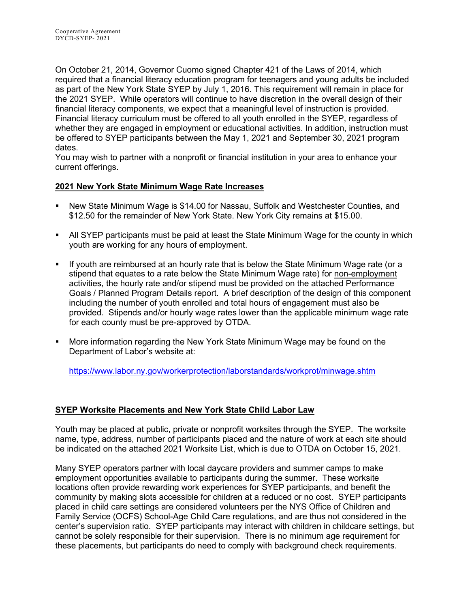On October 21, 2014, Governor Cuomo signed Chapter 421 of the Laws of 2014, which required that a financial literacy education program for teenagers and young adults be included as part of the New York State SYEP by July 1, 2016. This requirement will remain in place for the 2021 SYEP. While operators will continue to have discretion in the overall design of their financial literacy components, we expect that a meaningful level of instruction is provided. Financial literacy curriculum must be offered to all youth enrolled in the SYEP, regardless of whether they are engaged in employment or educational activities. In addition, instruction must be offered to SYEP participants between the May 1, 2021 and September 30, 2021 program dates.

You may wish to partner with a nonprofit or financial institution in your area to enhance your current offerings.

#### **2021 New York State Minimum Wage Rate Increases**

- New State Minimum Wage is \$14.00 for Nassau, Suffolk and Westchester Counties, and \$12.50 for the remainder of New York State. New York City remains at \$15.00.
- All SYEP participants must be paid at least the State Minimum Wage for the county in which youth are working for any hours of employment.
- If youth are reimbursed at an hourly rate that is below the State Minimum Wage rate (or a stipend that equates to a rate below the State Minimum Wage rate) for non-employment activities, the hourly rate and/or stipend must be provided on the attached Performance Goals / Planned Program Details report. A brief description of the design of this component including the number of youth enrolled and total hours of engagement must also be provided. Stipends and/or hourly wage rates lower than the applicable minimum wage rate for each county must be pre-approved by OTDA.
- More information regarding the New York State Minimum Wage may be found on the Department of Labor's website at:

<https://www.labor.ny.gov/workerprotection/laborstandards/workprot/minwage.shtm>

## **SYEP Worksite Placements and New York State Child Labor Law**

Youth may be placed at public, private or nonprofit worksites through the SYEP. The worksite name, type, address, number of participants placed and the nature of work at each site should be indicated on the attached 2021 Worksite List, which is due to OTDA on October 15, 2021.

Many SYEP operators partner with local daycare providers and summer camps to make employment opportunities available to participants during the summer. These worksite locations often provide rewarding work experiences for SYEP participants, and benefit the community by making slots accessible for children at a reduced or no cost. SYEP participants placed in child care settings are considered volunteers per the NYS Office of Children and Family Service (OCFS) School-Age Child Care regulations, and are thus not considered in the center's supervision ratio. SYEP participants may interact with children in childcare settings, but cannot be solely responsible for their supervision. There is no minimum age requirement for these placements, but participants do need to comply with background check requirements.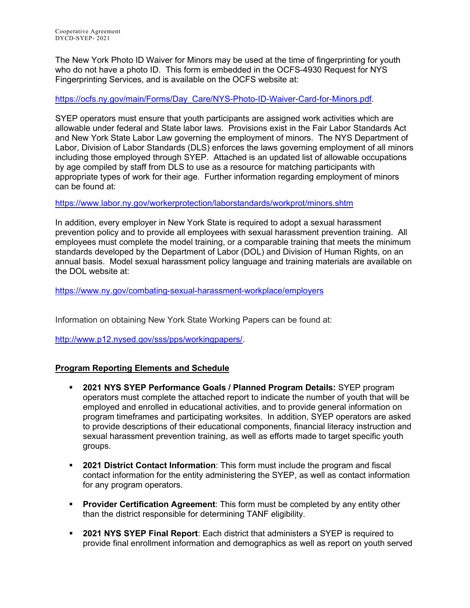The New York Photo ID Waiver for Minors may be used at the time of fingerprinting for youth who do not have a photo ID. This form is embedded in the OCFS-4930 Request for NYS Fingerprinting Services, and is available on the OCFS website at:

[https://ocfs.ny.gov/main/Forms/Day\\_Care/NYS-Photo-ID-Waiver-Card-for-Minors.pdf.](https://ocfs.ny.gov/main/Forms/Day_Care/NYS-Photo-ID-Waiver-Card-for-Minors.pdf)

SYEP operators must ensure that youth participants are assigned work activities which are allowable under federal and State labor laws. Provisions exist in the Fair Labor Standards Act and New York State Labor Law governing the employment of minors. The NYS Department of Labor, Division of Labor Standards (DLS) enforces the laws governing employment of all minors including those employed through SYEP. Attached is an updated list of allowable occupations by age compiled by staff from DLS to use as a resource for matching participants with appropriate types of work for their age. Further information regarding employment of minors can be found at:

<https://www.labor.ny.gov/workerprotection/laborstandards/workprot/minors.shtm>

In addition, every employer in New York State is required to adopt a sexual harassment prevention policy and to provide all employees with sexual harassment prevention training. All employees must complete the model training, or a comparable training that meets the minimum standards developed by the Department of Labor (DOL) and Division of Human Rights, on an annual basis. Model sexual harassment policy language and training materials are available on the DOL website at:

<https://www.ny.gov/combating-sexual-harassment-workplace/employers>

Information on obtaining New York State Working Papers can be found at:

[http://www.p12.nysed.gov/sss/pps/workingpapers/.](http://www.p12.nysed.gov/sss/pps/workingpapers/)

#### **Program Reporting Elements and Schedule**

- **2021 NYS SYEP Performance Goals / Planned Program Details:** SYEP program operators must complete the attached report to indicate the number of youth that will be employed and enrolled in educational activities, and to provide general information on program timeframes and participating worksites. In addition, SYEP operators are asked to provide descriptions of their educational components, financial literacy instruction and sexual harassment prevention training, as well as efforts made to target specific youth groups.
- **2021 District Contact Information**: This form must include the program and fiscal contact information for the entity administering the SYEP, as well as contact information for any program operators.
- **Provider Certification Agreement**: This form must be completed by any entity other than the district responsible for determining TANF eligibility.
- **2021 NYS SYEP Final Report**: Each district that administers a SYEP is required to provide final enrollment information and demographics as well as report on youth served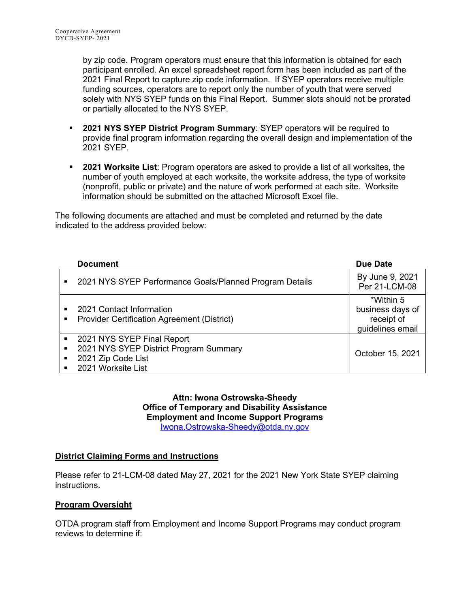by zip code. Program operators must ensure that this information is obtained for each participant enrolled. An excel spreadsheet report form has been included as part of the 2021 Final Report to capture zip code information. If SYEP operators receive multiple funding sources, operators are to report only the number of youth that were served solely with NYS SYEP funds on this Final Report. Summer slots should not be prorated or partially allocated to the NYS SYEP.

- **2021 NYS SYEP District Program Summary**: SYEP operators will be required to provide final program information regarding the overall design and implementation of the 2021 SYEP.
- **2021 Worksite List**: Program operators are asked to provide a list of all worksites, the number of youth employed at each worksite, the worksite address, the type of worksite (nonprofit, public or private) and the nature of work performed at each site. Worksite information should be submitted on the attached Microsoft Excel file.

The following documents are attached and must be completed and returned by the date indicated to the address provided below:

|                     | <b>Document</b>                                                                                                  | Due Date                                                        |
|---------------------|------------------------------------------------------------------------------------------------------------------|-----------------------------------------------------------------|
|                     | 2021 NYS SYEP Performance Goals/Planned Program Details                                                          | By June 9, 2021<br>Per 21-LCM-08                                |
| ٠                   | 2021 Contact Information<br><b>Provider Certification Agreement (District)</b>                                   | *Within 5<br>business days of<br>receipt of<br>guidelines email |
| $\blacksquare$<br>٠ | 2021 NYS SYEP Final Report<br>2021 NYS SYEP District Program Summary<br>2021 Zip Code List<br>2021 Worksite List | October 15, 2021                                                |

**Attn: Iwona Ostrowska-Sheedy Office of Temporary and Disability Assistance Employment and Income Support Programs** [Iwona.Ostrowska-Sheedy@otda.ny.gov](mailto:Iwona.Ostrowska-Sheedy@otda.ny.gov)

#### **District Claiming Forms and Instructions**

Please refer to 21-LCM-08 dated May 27, 2021 for the 2021 New York State SYEP claiming instructions.

#### **Program Oversight**

OTDA program staff from Employment and Income Support Programs may conduct program reviews to determine if: